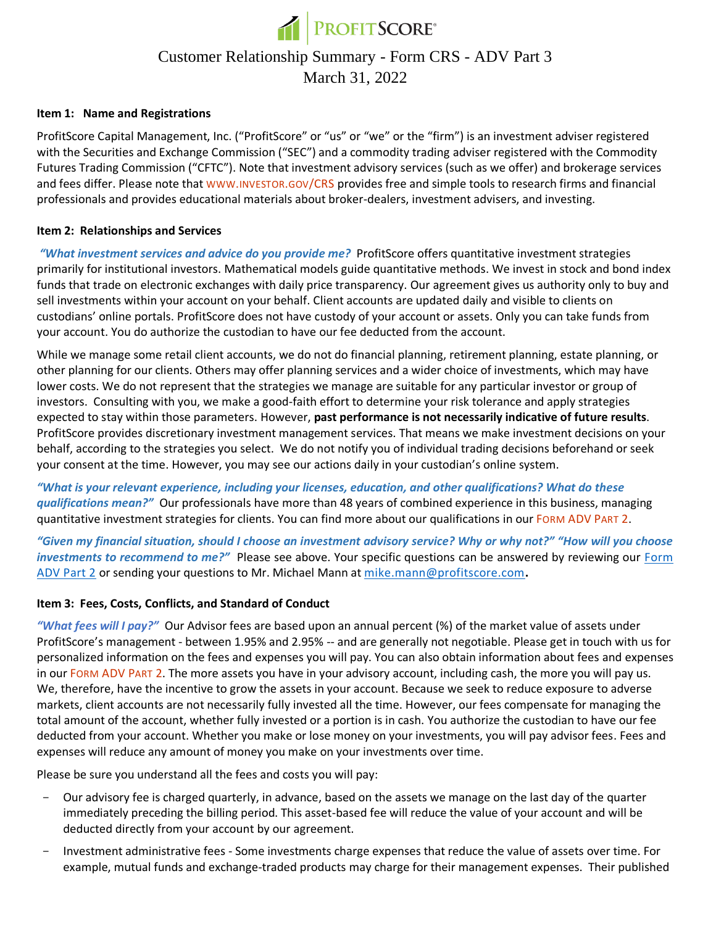

# Customer Relationship Summary - Form CRS - ADV Part 3 March 31, 2022

#### **Item 1: Name and Registrations**

ProfitScore Capital Management, Inc. ("ProfitScore" or "us" or "we" or the "firm") is an investment adviser registered with the Securities and Exchange Commission ("SEC") and a commodity trading adviser registered with the Commodity Futures Trading Commission ("CFTC"). Note that investment advisory services (such as we offer) and brokerage services and fees differ. Please note that WWW.[INVESTOR](http://www.investor.gov/CRS).GOV/CRS provides free and simple tools to research firms and financial professionals and provides educational materials about broker-dealers, investment advisers, and investing.

### **Item 2: Relationships and Services**

*"What investment services and advice do you provide me?* ProfitScore offers quantitative investment strategies primarily for institutional investors. Mathematical models guide quantitative methods. We invest in stock and bond index funds that trade on electronic exchanges with daily price transparency. Our agreement gives us authority only to buy and sell investments within your account on your behalf. Client accounts are updated daily and visible to clients on custodians' online portals. ProfitScore does not have custody of your account or assets. Only you can take funds from your account. You do authorize the custodian to have our fee deducted from the account.

While we manage some retail client accounts, we do not do financial planning, retirement planning, estate planning, or other planning for our clients. Others may offer planning services and a wider choice of investments, which may have lower costs. We do not represent that the strategies we manage are suitable for any particular investor or group of investors. Consulting with you, we make a good-faith effort to determine your risk tolerance and apply strategies expected to stay within those parameters. However, **past performance is not necessarily indicative of future results**. ProfitScore provides discretionary investment management services. That means we make investment decisions on your behalf, according to the strategies you select. We do not notify you of individual trading decisions beforehand or seek your consent at the time. However, you may see our actions daily in your custodian's online system.

*"What is your relevant experience, including your licenses, education, and other qualifications? What do these qualifications mean?"* Our professionals have more than 48 years of combined experience in this business, managing quantitative investment strategies for clients. You can find more about our qualifications in our FORM [ADV](https://files.adviserinfo.sec.gov/IAPD/Content/Common/crd_iapd_Brochure.aspx?BRCHR_VRSN_ID=630642) PART 2.

*"Given my financial situation, should I choose an investment advisory service? Why or why not?" "How will you choose investments to recommend to me?"*Please see above. Your specific questions can be answered by reviewing our [Form](https://files.adviserinfo.sec.gov/IAPD/Content/Common/crd_iapd_Brochure.aspx?BRCHR_VRSN_ID=630642)  [ADV Part 2](https://files.adviserinfo.sec.gov/IAPD/Content/Common/crd_iapd_Brochure.aspx?BRCHR_VRSN_ID=630642) or sending your questions to Mr. Michael Mann at [mike.mann@profitscore.com](mailto:mike.mann@profitscore.com)**.**

#### **Item 3: Fees, Costs, Conflicts, and Standard of Conduct**

*"What fees will I pay?"* Our Advisor fees are based upon an annual percent (%) of the market value of assets under ProfitScore's management - between 1.95% and 2.95% -- and are generally not negotiable. Please get in touch with us for personalized information on the fees and expenses you will pay. You can also obtain information about fees and expenses in our FORM [ADV](https://files.adviserinfo.sec.gov/IAPD/Content/Common/crd_iapd_Brochure.aspx?BRCHR_VRSN_ID=630642) PART 2. The more assets you have in your advisory account, including cash, the more you will pay us. We, therefore, have the incentive to grow the assets in your account. Because we seek to reduce exposure to adverse markets, client accounts are not necessarily fully invested all the time. However, our fees compensate for managing the total amount of the account, whether fully invested or a portion is in cash. You authorize the custodian to have our fee deducted from your account. Whether you make or lose money on your investments, you will pay advisor fees. Fees and expenses will reduce any amount of money you make on your investments over time.

Please be sure you understand all the fees and costs you will pay:

- Our advisory fee is charged quarterly, in advance, based on the assets we manage on the last day of the quarter immediately preceding the billing period. This asset-based fee will reduce the value of your account and will be deducted directly from your account by our agreement.
- Investment administrative fees Some investments charge expenses that reduce the value of assets over time. For example, mutual funds and exchange-traded products may charge for their management expenses. Their published